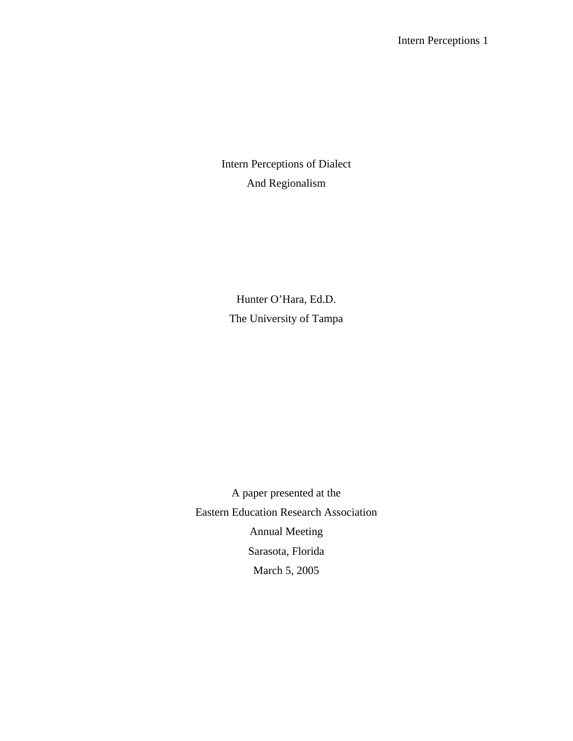Intern Perceptions of Dialect And Regionalism

Hunter O'Hara, Ed.D. The University of Tampa

A paper presented at the Eastern Education Research Association Annual Meeting Sarasota, Florida March 5, 2005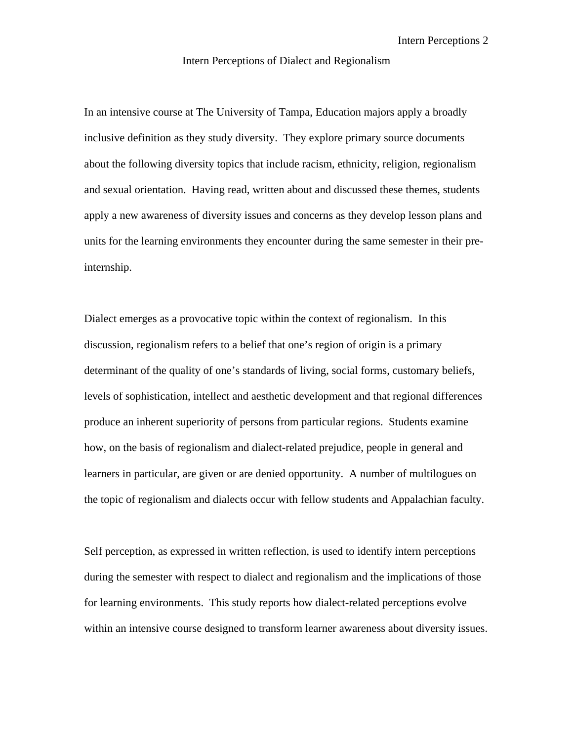Intern Perceptions 2

Intern Perceptions of Dialect and Regionalism

In an intensive course at The University of Tampa, Education majors apply a broadly inclusive definition as they study diversity. They explore primary source documents about the following diversity topics that include racism, ethnicity, religion, regionalism and sexual orientation. Having read, written about and discussed these themes, students apply a new awareness of diversity issues and concerns as they develop lesson plans and units for the learning environments they encounter during the same semester in their preinternship.

Dialect emerges as a provocative topic within the context of regionalism. In this discussion, regionalism refers to a belief that one's region of origin is a primary determinant of the quality of one's standards of living, social forms, customary beliefs, levels of sophistication, intellect and aesthetic development and that regional differences produce an inherent superiority of persons from particular regions. Students examine how, on the basis of regionalism and dialect-related prejudice, people in general and learners in particular, are given or are denied opportunity. A number of multilogues on the topic of regionalism and dialects occur with fellow students and Appalachian faculty.

Self perception, as expressed in written reflection, is used to identify intern perceptions during the semester with respect to dialect and regionalism and the implications of those for learning environments. This study reports how dialect-related perceptions evolve within an intensive course designed to transform learner awareness about diversity issues.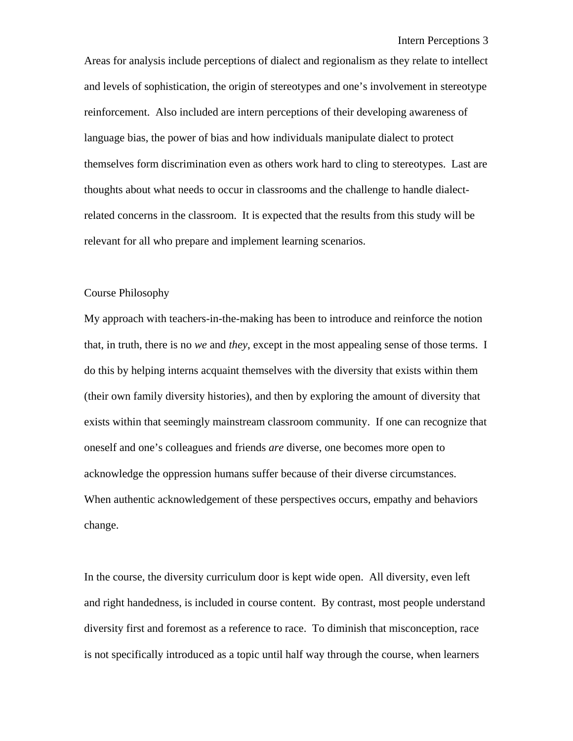Areas for analysis include perceptions of dialect and regionalism as they relate to intellect and levels of sophistication, the origin of stereotypes and one's involvement in stereotype reinforcement. Also included are intern perceptions of their developing awareness of language bias, the power of bias and how individuals manipulate dialect to protect themselves form discrimination even as others work hard to cling to stereotypes. Last are thoughts about what needs to occur in classrooms and the challenge to handle dialectrelated concerns in the classroom. It is expected that the results from this study will be relevant for all who prepare and implement learning scenarios.

# Course Philosophy

My approach with teachers-in-the-making has been to introduce and reinforce the notion that, in truth, there is no *we* and *they*, except in the most appealing sense of those terms. I do this by helping interns acquaint themselves with the diversity that exists within them (their own family diversity histories), and then by exploring the amount of diversity that exists within that seemingly mainstream classroom community. If one can recognize that oneself and one's colleagues and friends *are* diverse, one becomes more open to acknowledge the oppression humans suffer because of their diverse circumstances. When authentic acknowledgement of these perspectives occurs, empathy and behaviors change.

In the course, the diversity curriculum door is kept wide open. All diversity, even left and right handedness, is included in course content. By contrast, most people understand diversity first and foremost as a reference to race. To diminish that misconception, race is not specifically introduced as a topic until half way through the course, when learners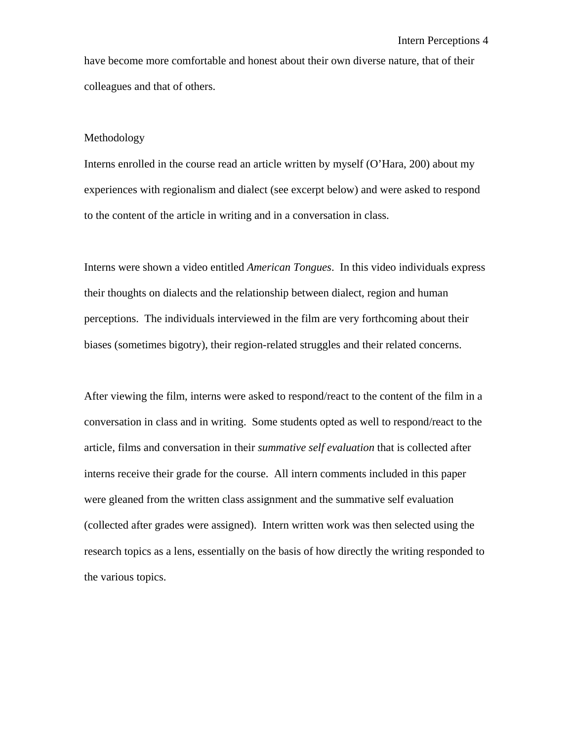have become more comfortable and honest about their own diverse nature, that of their colleagues and that of others.

## Methodology

Interns enrolled in the course read an article written by myself (O'Hara, 200) about my experiences with regionalism and dialect (see excerpt below) and were asked to respond to the content of the article in writing and in a conversation in class.

Interns were shown a video entitled *American Tongues*. In this video individuals express their thoughts on dialects and the relationship between dialect, region and human perceptions. The individuals interviewed in the film are very forthcoming about their biases (sometimes bigotry), their region-related struggles and their related concerns.

After viewing the film, interns were asked to respond/react to the content of the film in a conversation in class and in writing. Some students opted as well to respond/react to the article, films and conversation in their *summative self evaluation* that is collected after interns receive their grade for the course. All intern comments included in this paper were gleaned from the written class assignment and the summative self evaluation (collected after grades were assigned). Intern written work was then selected using the research topics as a lens, essentially on the basis of how directly the writing responded to the various topics.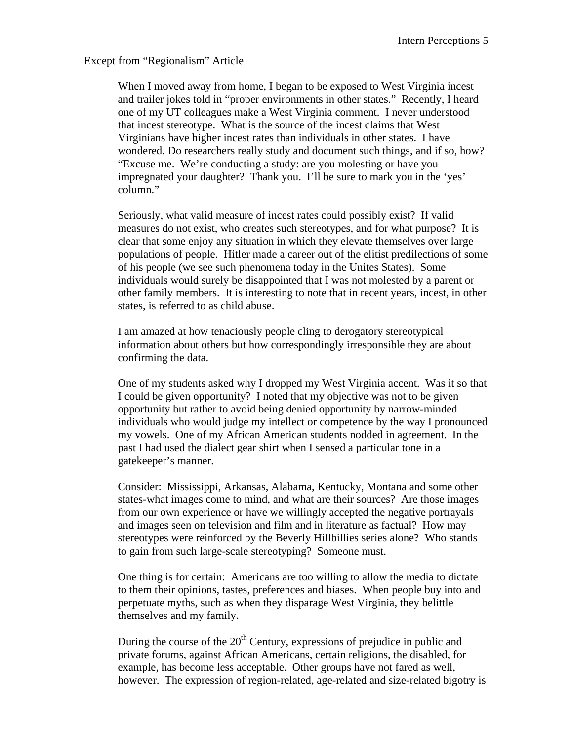Except from "Regionalism" Article

When I moved away from home, I began to be exposed to West Virginia incest and trailer jokes told in "proper environments in other states." Recently, I heard one of my UT colleagues make a West Virginia comment. I never understood that incest stereotype. What is the source of the incest claims that West Virginians have higher incest rates than individuals in other states. I have wondered. Do researchers really study and document such things, and if so, how? "Excuse me. We're conducting a study: are you molesting or have you impregnated your daughter? Thank you. I'll be sure to mark you in the 'yes' column."

Seriously, what valid measure of incest rates could possibly exist? If valid measures do not exist, who creates such stereotypes, and for what purpose? It is clear that some enjoy any situation in which they elevate themselves over large populations of people. Hitler made a career out of the elitist predilections of some of his people (we see such phenomena today in the Unites States). Some individuals would surely be disappointed that I was not molested by a parent or other family members. It is interesting to note that in recent years, incest, in other states, is referred to as child abuse.

I am amazed at how tenaciously people cling to derogatory stereotypical information about others but how correspondingly irresponsible they are about confirming the data.

One of my students asked why I dropped my West Virginia accent. Was it so that I could be given opportunity? I noted that my objective was not to be given opportunity but rather to avoid being denied opportunity by narrow-minded individuals who would judge my intellect or competence by the way I pronounced my vowels. One of my African American students nodded in agreement. In the past I had used the dialect gear shirt when I sensed a particular tone in a gatekeeper's manner.

Consider: Mississippi, Arkansas, Alabama, Kentucky, Montana and some other states-what images come to mind, and what are their sources? Are those images from our own experience or have we willingly accepted the negative portrayals and images seen on television and film and in literature as factual? How may stereotypes were reinforced by the Beverly Hillbillies series alone? Who stands to gain from such large-scale stereotyping? Someone must.

One thing is for certain: Americans are too willing to allow the media to dictate to them their opinions, tastes, preferences and biases. When people buy into and perpetuate myths, such as when they disparage West Virginia, they belittle themselves and my family.

During the course of the  $20<sup>th</sup>$  Century, expressions of prejudice in public and private forums, against African Americans, certain religions, the disabled, for example, has become less acceptable. Other groups have not fared as well, however. The expression of region-related, age-related and size-related bigotry is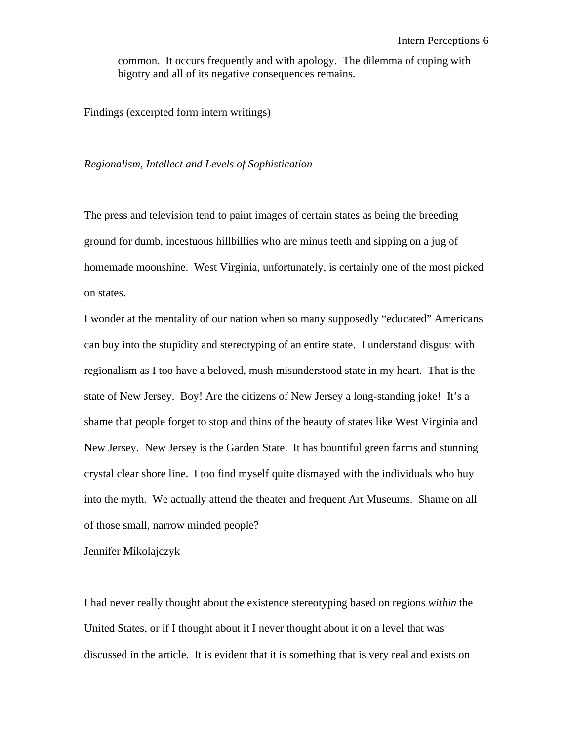common. It occurs frequently and with apology. The dilemma of coping with bigotry and all of its negative consequences remains.

Findings (excerpted form intern writings)

## *Regionalism, Intellect and Levels of Sophistication*

The press and television tend to paint images of certain states as being the breeding ground for dumb, incestuous hillbillies who are minus teeth and sipping on a jug of homemade moonshine. West Virginia, unfortunately, is certainly one of the most picked on states.

I wonder at the mentality of our nation when so many supposedly "educated" Americans can buy into the stupidity and stereotyping of an entire state. I understand disgust with regionalism as I too have a beloved, mush misunderstood state in my heart. That is the state of New Jersey. Boy! Are the citizens of New Jersey a long-standing joke! It's a shame that people forget to stop and thins of the beauty of states like West Virginia and New Jersey. New Jersey is the Garden State. It has bountiful green farms and stunning crystal clear shore line. I too find myself quite dismayed with the individuals who buy into the myth. We actually attend the theater and frequent Art Museums. Shame on all of those small, narrow minded people?

Jennifer Mikolajczyk

I had never really thought about the existence stereotyping based on regions *within* the United States, or if I thought about it I never thought about it on a level that was discussed in the article. It is evident that it is something that is very real and exists on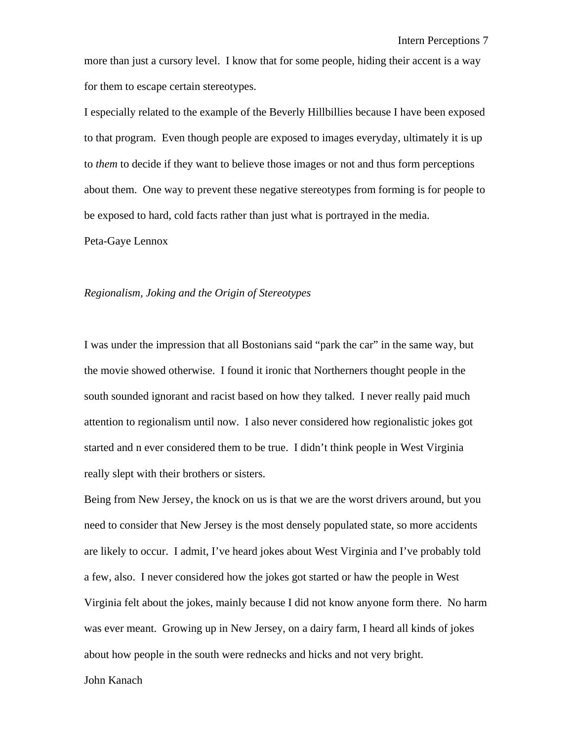more than just a cursory level. I know that for some people, hiding their accent is a way for them to escape certain stereotypes.

I especially related to the example of the Beverly Hillbillies because I have been exposed to that program. Even though people are exposed to images everyday, ultimately it is up to *them* to decide if they want to believe those images or not and thus form perceptions about them. One way to prevent these negative stereotypes from forming is for people to be exposed to hard, cold facts rather than just what is portrayed in the media.

Peta-Gaye Lennox

## *Regionalism, Joking and the Origin of Stereotypes*

I was under the impression that all Bostonians said "park the car" in the same way, but the movie showed otherwise. I found it ironic that Northerners thought people in the south sounded ignorant and racist based on how they talked. I never really paid much attention to regionalism until now. I also never considered how regionalistic jokes got started and n ever considered them to be true. I didn't think people in West Virginia really slept with their brothers or sisters.

Being from New Jersey, the knock on us is that we are the worst drivers around, but you need to consider that New Jersey is the most densely populated state, so more accidents are likely to occur. I admit, I've heard jokes about West Virginia and I've probably told a few, also. I never considered how the jokes got started or haw the people in West Virginia felt about the jokes, mainly because I did not know anyone form there. No harm was ever meant. Growing up in New Jersey, on a dairy farm, I heard all kinds of jokes about how people in the south were rednecks and hicks and not very bright.

# John Kanach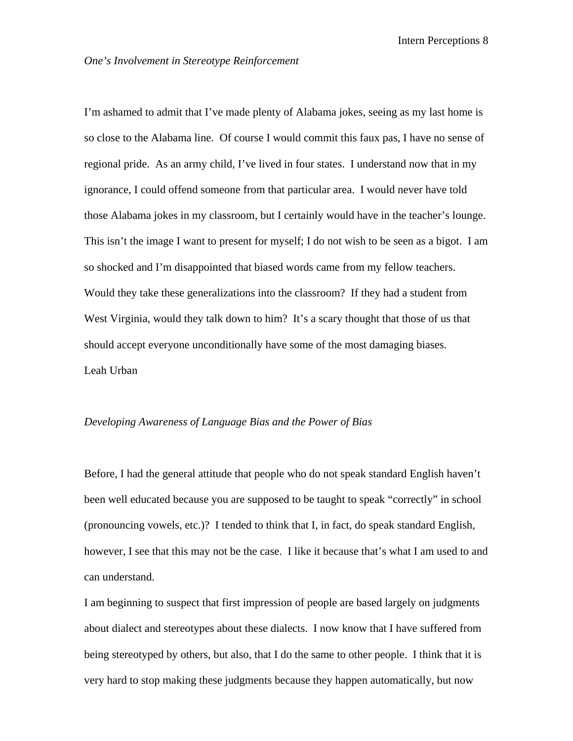I'm ashamed to admit that I've made plenty of Alabama jokes, seeing as my last home is so close to the Alabama line. Of course I would commit this faux pas, I have no sense of regional pride. As an army child, I've lived in four states. I understand now that in my ignorance, I could offend someone from that particular area. I would never have told those Alabama jokes in my classroom, but I certainly would have in the teacher's lounge. This isn't the image I want to present for myself; I do not wish to be seen as a bigot. I am so shocked and I'm disappointed that biased words came from my fellow teachers. Would they take these generalizations into the classroom? If they had a student from West Virginia, would they talk down to him? It's a scary thought that those of us that should accept everyone unconditionally have some of the most damaging biases. Leah Urban

## *Developing Awareness of Language Bias and the Power of Bias*

Before, I had the general attitude that people who do not speak standard English haven't been well educated because you are supposed to be taught to speak "correctly" in school (pronouncing vowels, etc.)? I tended to think that I, in fact, do speak standard English, however, I see that this may not be the case. I like it because that's what I am used to and can understand.

I am beginning to suspect that first impression of people are based largely on judgments about dialect and stereotypes about these dialects. I now know that I have suffered from being stereotyped by others, but also, that I do the same to other people. I think that it is very hard to stop making these judgments because they happen automatically, but now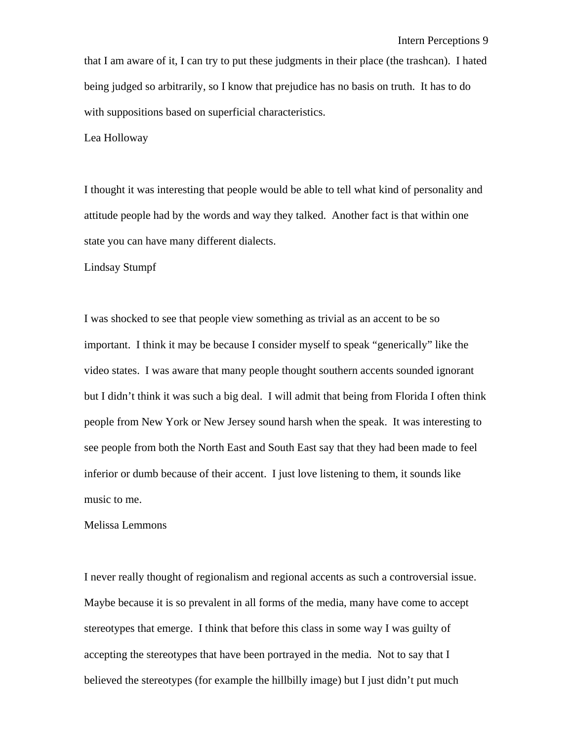that I am aware of it, I can try to put these judgments in their place (the trashcan). I hated being judged so arbitrarily, so I know that prejudice has no basis on truth. It has to do with suppositions based on superficial characteristics.

Lea Holloway

I thought it was interesting that people would be able to tell what kind of personality and attitude people had by the words and way they talked. Another fact is that within one state you can have many different dialects.

Lindsay Stumpf

I was shocked to see that people view something as trivial as an accent to be so important. I think it may be because I consider myself to speak "generically" like the video states. I was aware that many people thought southern accents sounded ignorant but I didn't think it was such a big deal. I will admit that being from Florida I often think people from New York or New Jersey sound harsh when the speak. It was interesting to see people from both the North East and South East say that they had been made to feel inferior or dumb because of their accent. I just love listening to them, it sounds like music to me.

### Melissa Lemmons

I never really thought of regionalism and regional accents as such a controversial issue. Maybe because it is so prevalent in all forms of the media, many have come to accept stereotypes that emerge. I think that before this class in some way I was guilty of accepting the stereotypes that have been portrayed in the media. Not to say that I believed the stereotypes (for example the hillbilly image) but I just didn't put much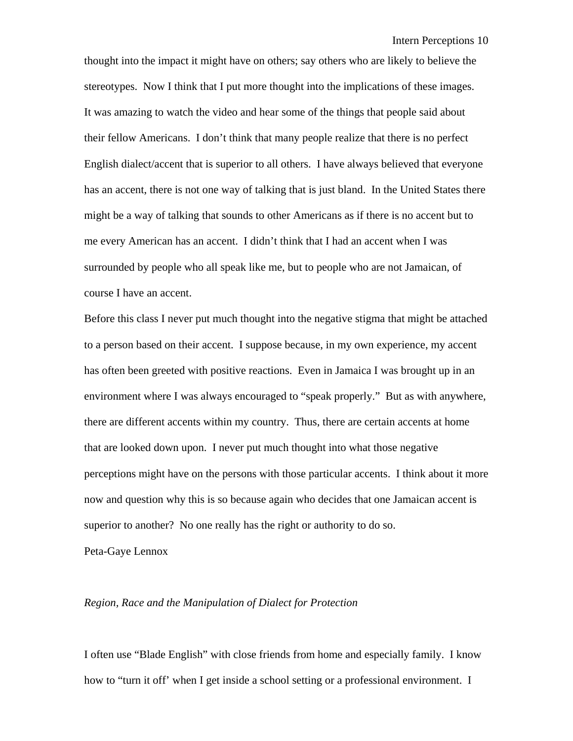thought into the impact it might have on others; say others who are likely to believe the stereotypes. Now I think that I put more thought into the implications of these images. It was amazing to watch the video and hear some of the things that people said about their fellow Americans. I don't think that many people realize that there is no perfect English dialect/accent that is superior to all others. I have always believed that everyone has an accent, there is not one way of talking that is just bland. In the United States there might be a way of talking that sounds to other Americans as if there is no accent but to me every American has an accent. I didn't think that I had an accent when I was surrounded by people who all speak like me, but to people who are not Jamaican, of course I have an accent.

Before this class I never put much thought into the negative stigma that might be attached to a person based on their accent. I suppose because, in my own experience, my accent has often been greeted with positive reactions. Even in Jamaica I was brought up in an environment where I was always encouraged to "speak properly." But as with anywhere, there are different accents within my country. Thus, there are certain accents at home that are looked down upon. I never put much thought into what those negative perceptions might have on the persons with those particular accents. I think about it more now and question why this is so because again who decides that one Jamaican accent is superior to another? No one really has the right or authority to do so.

Peta-Gaye Lennox

#### *Region, Race and the Manipulation of Dialect for Protection*

I often use "Blade English" with close friends from home and especially family. I know how to "turn it off' when I get inside a school setting or a professional environment. I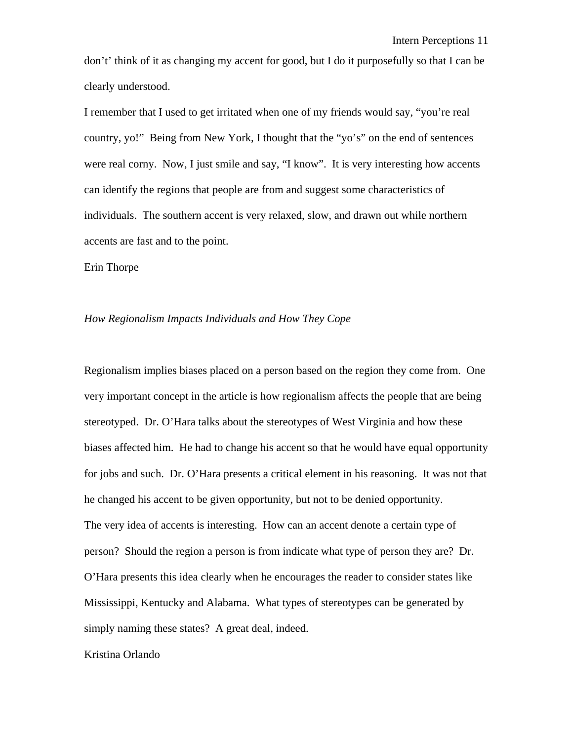don't' think of it as changing my accent for good, but I do it purposefully so that I can be clearly understood.

I remember that I used to get irritated when one of my friends would say, "you're real country, yo!" Being from New York, I thought that the "yo's" on the end of sentences were real corny. Now, I just smile and say, "I know". It is very interesting how accents can identify the regions that people are from and suggest some characteristics of individuals. The southern accent is very relaxed, slow, and drawn out while northern accents are fast and to the point.

Erin Thorpe

#### *How Regionalism Impacts Individuals and How They Cope*

Regionalism implies biases placed on a person based on the region they come from. One very important concept in the article is how regionalism affects the people that are being stereotyped. Dr. O'Hara talks about the stereotypes of West Virginia and how these biases affected him. He had to change his accent so that he would have equal opportunity for jobs and such. Dr. O'Hara presents a critical element in his reasoning. It was not that he changed his accent to be given opportunity, but not to be denied opportunity. The very idea of accents is interesting. How can an accent denote a certain type of person? Should the region a person is from indicate what type of person they are? Dr. O'Hara presents this idea clearly when he encourages the reader to consider states like Mississippi, Kentucky and Alabama. What types of stereotypes can be generated by simply naming these states? A great deal, indeed.

## Kristina Orlando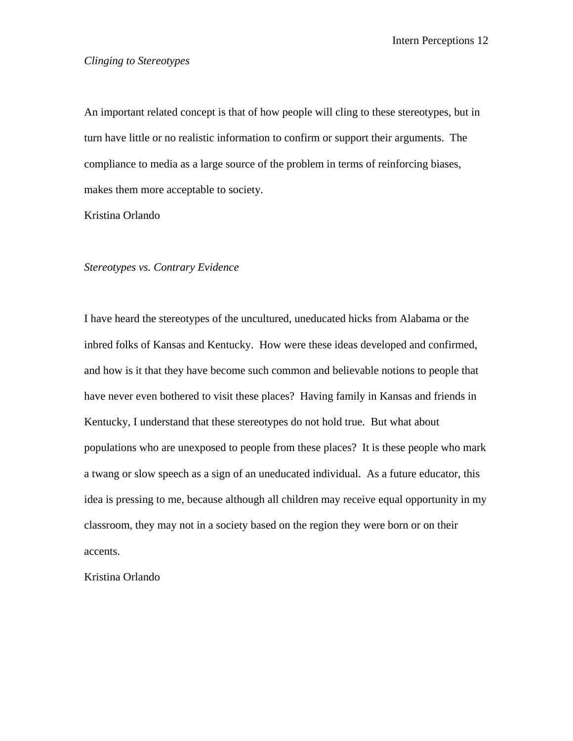# *Clinging to Stereotypes*

An important related concept is that of how people will cling to these stereotypes, but in turn have little or no realistic information to confirm or support their arguments. The compliance to media as a large source of the problem in terms of reinforcing biases, makes them more acceptable to society.

Kristina Orlando

## *Stereotypes vs. Contrary Evidence*

I have heard the stereotypes of the uncultured, uneducated hicks from Alabama or the inbred folks of Kansas and Kentucky. How were these ideas developed and confirmed, and how is it that they have become such common and believable notions to people that have never even bothered to visit these places? Having family in Kansas and friends in Kentucky, I understand that these stereotypes do not hold true. But what about populations who are unexposed to people from these places? It is these people who mark a twang or slow speech as a sign of an uneducated individual. As a future educator, this idea is pressing to me, because although all children may receive equal opportunity in my classroom, they may not in a society based on the region they were born or on their accents.

Kristina Orlando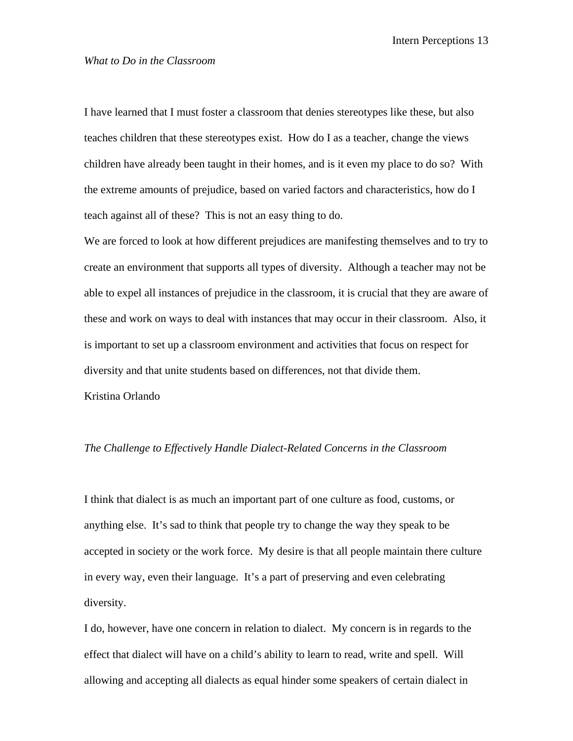## *What to Do in the Classroom*

I have learned that I must foster a classroom that denies stereotypes like these, but also teaches children that these stereotypes exist. How do I as a teacher, change the views children have already been taught in their homes, and is it even my place to do so? With the extreme amounts of prejudice, based on varied factors and characteristics, how do I teach against all of these? This is not an easy thing to do.

We are forced to look at how different prejudices are manifesting themselves and to try to create an environment that supports all types of diversity. Although a teacher may not be able to expel all instances of prejudice in the classroom, it is crucial that they are aware of these and work on ways to deal with instances that may occur in their classroom. Also, it is important to set up a classroom environment and activities that focus on respect for diversity and that unite students based on differences, not that divide them. Kristina Orlando

## *The Challenge to Effectively Handle Dialect-Related Concerns in the Classroom*

I think that dialect is as much an important part of one culture as food, customs, or anything else. It's sad to think that people try to change the way they speak to be accepted in society or the work force. My desire is that all people maintain there culture in every way, even their language. It's a part of preserving and even celebrating diversity.

I do, however, have one concern in relation to dialect. My concern is in regards to the effect that dialect will have on a child's ability to learn to read, write and spell. Will allowing and accepting all dialects as equal hinder some speakers of certain dialect in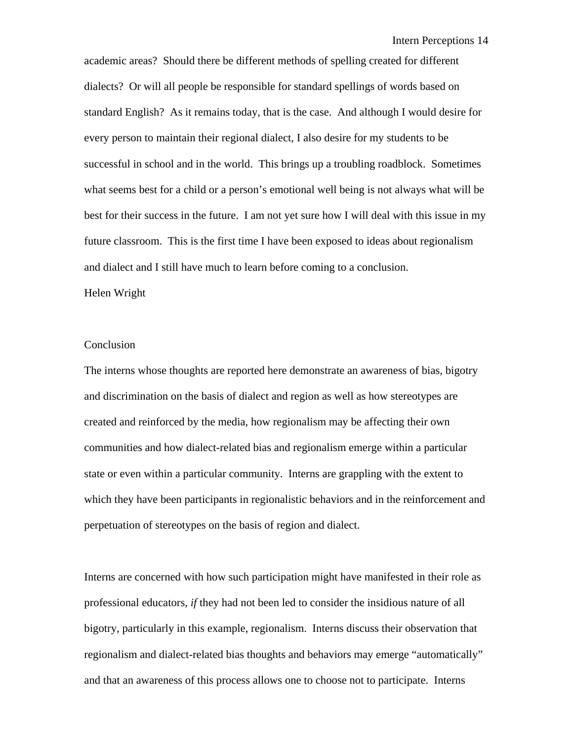academic areas? Should there be different methods of spelling created for different dialects? Or will all people be responsible for standard spellings of words based on standard English? As it remains today, that is the case. And although I would desire for every person to maintain their regional dialect, I also desire for my students to be successful in school and in the world. This brings up a troubling roadblock. Sometimes what seems best for a child or a person's emotional well being is not always what will be best for their success in the future. I am not yet sure how I will deal with this issue in my future classroom. This is the first time I have been exposed to ideas about regionalism and dialect and I still have much to learn before coming to a conclusion.

#### Helen Wright

## Conclusion

The interns whose thoughts are reported here demonstrate an awareness of bias, bigotry and discrimination on the basis of dialect and region as well as how stereotypes are created and reinforced by the media, how regionalism may be affecting their own communities and how dialect-related bias and regionalism emerge within a particular state or even within a particular community. Interns are grappling with the extent to which they have been participants in regionalistic behaviors and in the reinforcement and perpetuation of stereotypes on the basis of region and dialect.

Interns are concerned with how such participation might have manifested in their role as professional educators, *if* they had not been led to consider the insidious nature of all bigotry, particularly in this example, regionalism. Interns discuss their observation that regionalism and dialect-related bias thoughts and behaviors may emerge "automatically" and that an awareness of this process allows one to choose not to participate. Interns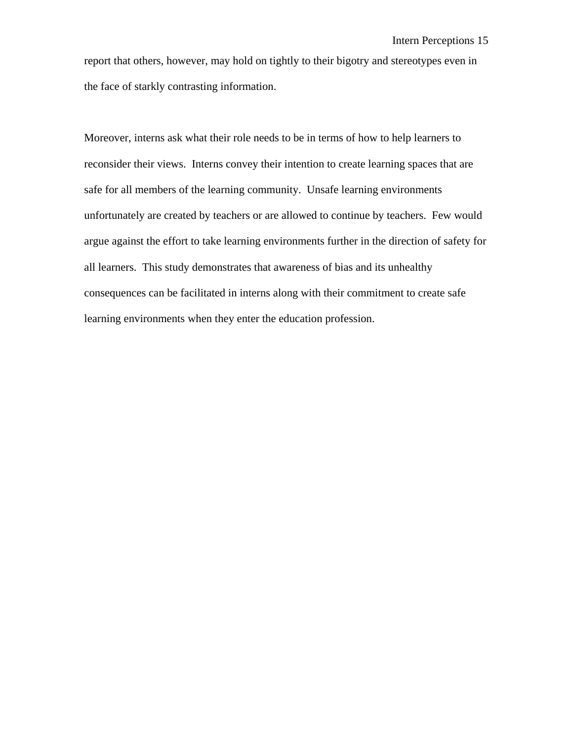report that others, however, may hold on tightly to their bigotry and stereotypes even in the face of starkly contrasting information.

Moreover, interns ask what their role needs to be in terms of how to help learners to reconsider their views. Interns convey their intention to create learning spaces that are safe for all members of the learning community. Unsafe learning environments unfortunately are created by teachers or are allowed to continue by teachers. Few would argue against the effort to take learning environments further in the direction of safety for all learners. This study demonstrates that awareness of bias and its unhealthy consequences can be facilitated in interns along with their commitment to create safe learning environments when they enter the education profession.